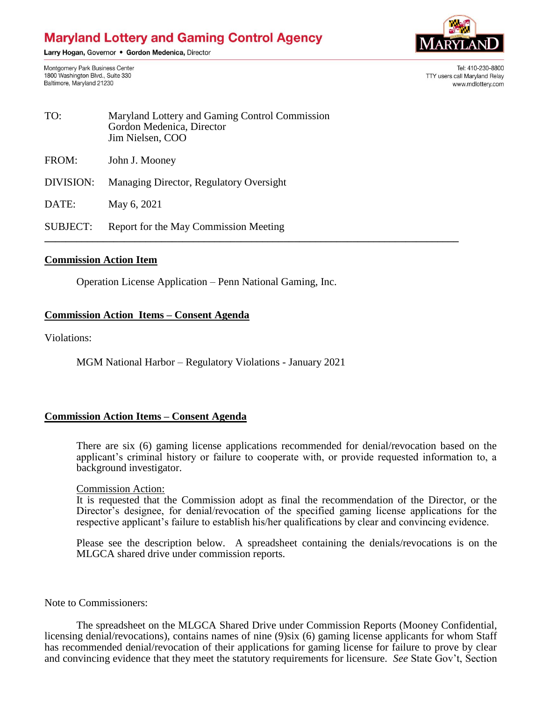# **Maryland Lottery and Gaming Control Agency**

Larry Hogan, Governor . Gordon Medenica, Director

Montgomery Park Business Center 1800 Washington Blvd., Suite 330 Baltimore, Maryland 21230



Tel: 410-230-8800 TTY users call Maryland Relay www.mdlottery.com

| TO:       | Maryland Lottery and Gaming Control Commission<br>Gordon Medenica, Director<br>Jim Nielsen, COO |
|-----------|-------------------------------------------------------------------------------------------------|
| FROM:     | John J. Mooney                                                                                  |
| DIVISION: | Managing Director, Regulatory Oversight                                                         |
| DATE:     | May 6, 2021                                                                                     |

SUBJECT: Report for the May Commission Meeting **\_\_\_\_\_\_\_\_\_\_\_\_\_\_\_\_\_\_\_\_\_\_\_\_\_\_\_\_\_\_\_\_\_\_\_\_\_\_\_\_\_\_\_\_\_\_\_\_\_\_\_\_\_\_\_\_\_\_\_\_\_\_\_\_\_\_\_\_\_\_\_\_\_\_\_\_\_\_**

#### **Commission Action Item**

Operation License Application – Penn National Gaming, Inc.

## **Commission Action Items – Consent Agenda**

Violations:

MGM National Harbor – Regulatory Violations - January 2021

## **Commission Action Items – Consent Agenda**

There are six (6) gaming license applications recommended for denial/revocation based on the applicant's criminal history or failure to cooperate with, or provide requested information to, a background investigator.

#### Commission Action:

It is requested that the Commission adopt as final the recommendation of the Director, or the Director's designee, for denial/revocation of the specified gaming license applications for the respective applicant's failure to establish his/her qualifications by clear and convincing evidence.

Please see the description below. A spreadsheet containing the denials/revocations is on the MLGCA shared drive under commission reports.

Note to Commissioners:

The spreadsheet on the MLGCA Shared Drive under Commission Reports (Mooney Confidential, licensing denial/revocations), contains names of nine (9)six (6) gaming license applicants for whom Staff has recommended denial/revocation of their applications for gaming license for failure to prove by clear and convincing evidence that they meet the statutory requirements for licensure. *See* State Gov't, Section